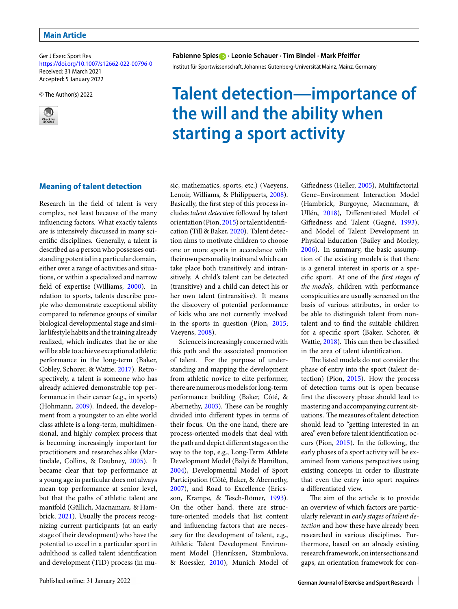Ger J Exerc Sport Res <https://doi.org/10.1007/s12662-022-00796-0> Received: 31 March 2021 Accepted: 5 January 2022

© The Author(s) 2022



## **Fabienne Spies · Leonie Schauer · Tim Bindel · Mark Pfeiffer**

Institut für Sportwissenschaft, Johannes Gutenberg-Universität Mainz, Mainz, Germany

# **Talent detection—importance of the will and the ability when starting a sport activity**

## **Meaning of talent detection**

Research in the field of talent is very complex, not least because of the many influencing factors. What exactly talents are is intensively discussed in many scientific disciplines. Generally, a talent is described as a person who possesses outstanding potentialina particular domain, either over a range of activities and situations, or within a specialized and narrow field of expertise (Williams, [2000\)](#page-8-0). In relation to sports, talents describe people who demonstrate exceptional ability compared to reference groups of similar biological developmental stage and similar lifestyle habits and the training already realized, which indicates that he or she will be able to achieve exceptional athletic performance in the long-term (Baker, Cobley, Schorer, & Wattie, [2017\)](#page-7-0). Retrospectively, a talent is someone who has already achieved demonstrable top performance in their career (e.g., in sports) (Hohmann, [2009\)](#page-8-1). Indeed, the development from a youngster to an elite world class athlete is a long-term, multidimensional, and highly complex process that is becoming increasingly important for practitioners and researches alike (Martindale, Collins, & Daubney, [2005\)](#page-8-2). It became clear that top performance at a young age in particular does not always mean top performance at senior level, but that the paths of athletic talent are manifold (Güllich, Macnamara, & Hambrick, [2021\)](#page-7-1). Usually the process recognizing current participants (at an early stage of their development) who have the potential to excel in a particular sport in adulthood is called talent identification and development (TID) process (in mu-

sic, mathematics, sports, etc.) (Vaeyens, Lenoir, Williams, & Philippaerts, [2008\)](#page-8-3). Basically, the first step of this process includes *talent detection* followed by talent orientation (Pion, [2015\)](#page-8-4) or talentidentification (Till & Baker, [2020\)](#page-8-5). Talent detection aims to motivate children to choose one or more sports in accordance with their own personality traits and which can take place both transitively and intransitively. A child's talent can be detected (transitive) and a child can detect his or her own talent (intransitive). It means the discovery of potential performance of kids who are not currently involved in the sports in question (Pion, [2015;](#page-8-4) Vaeyens, [2008\)](#page-8-3).

Science is increasingly concerned with this path and the associated promotion of talent. For the purpose of understanding and mapping the development from athletic novice to elite performer, there are numerous models for long-term performance building (Baker, Côté, & Abernethy, [2003\)](#page-7-2). These can be roughly divided into different types in terms of their focus. On the one hand, there are process-oriented models that deal with the path and depict different stages on the way to the top, e.g., Long-Term Athlete Development Model (Balyi & Hamilton, [2004\)](#page-7-3), Developmental Model of Sport Participation (Côté, Baker, & Abernethy, [2007\)](#page-7-4), and Road to Excellence (Ericsson, Krampe, & Tesch-Römer, [1993\)](#page-7-5). On the other hand, there are structure-oriented models that list content and influencing factors that are necessary for the development of talent, e.g., Athletic Talent Development Environment Model (Henriksen, Stambulova, & Roessler, [2010\)](#page-8-6), Munich Model of Gifedness (Heller, [2005\)](#page-8-7), Multifactorial Gene–Environment Interaction Model (Hambrick, Burgoyne, Macnamara, & Ullén, [2018\)](#page-8-8), Differentiated Model of Gifedness and Talent (Gagné, [1993\)](#page-7-6), and Model of Talent Development in Physical Education (Bailey and Morley, [2006\)](#page-7-7). In summary, the basic assumption of the existing models is that there is a general interest in sports or a specific sport. At one of the *first stages of the models*, children with performance conspicuities are usually screened on the basis of various attributes, in order to be able to distinguish talent from nontalent and to find the suitable children for a specific sport (Baker, Schorer, & Wattie, [2018\)](#page-7-8). This can then be classified in the area of talent identification.

The listed models do not consider the phase of entry into the sport (talent detection) (Pion, [2015\)](#page-8-4). How the process of detection turns out is open because first the discovery phase should lead to mastering and accompanying current situations. The measures of talent detection should lead to "getting interested in an area" even before talent identification occurs (Pion, [2015\)](#page-8-4). In the following, the early phases of a sport activity will be examined from various perspectives using existing concepts in order to illustrate that even the entry into sport requires a differentiated view.

The aim of the article is to provide an overview of which factors are particularly relevant in *early stages of talent detection* and how these have already been researched in various disciplines. Furthermore, based on an already existing research framework, on intersections and gaps, an orientation framework for con-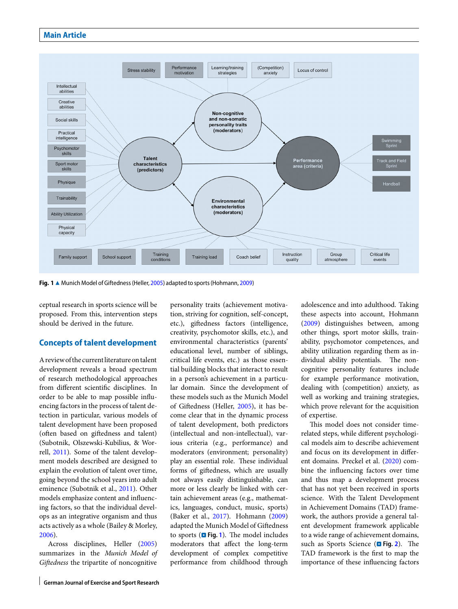

<span id="page-1-0"></span>Fig. 1 ▲ Munich Model of Giftedness (Heller, [2005\)](#page-8-7) adapted to sports (Hohmann, [2009\)](#page-8-1)

ceptual research in sports science will be proposed. From this, intervention steps should be derived in the future.

## **Concepts of talent development**

A review of the current literature on talent development reveals a broad spectrum of research methodological approaches from different scientific disciplines. In order to be able to map possible influencing factors in the process of talent detection in particular, various models of talent development have been proposed (often based on giftedness and talent) (Subotnik, Olszewski-Kubilius, & Worrell, [2011\)](#page-8-9). Some of the talent development models described are designed to explain the evolution of talent over time, going beyond the school years into adult eminence (Subotnik et al., [2011\)](#page-8-9). Other models emphasize content and influencing factors, so that the individual develops as an integrative organism and thus acts actively as a whole (Bailey & Morley, [2006\)](#page-7-7).

Across disciplines, Heller [\(2005\)](#page-8-7) summarizes in the *Munich Model of Gifedness* the tripartite of noncognitive

personality traits (achievement motivation, striving for cognition, self-concept, etc.), gifedness factors (intelligence, creativity, psychomotor skills, etc.), and environmental characteristics (parents' educational level, number of siblings, critical life events, etc.) as those essential building blocks that interact to result in a person's achievement in a particular domain. Since the development of these models such as the Munich Model of Gifedness (Heller, [2005\)](#page-8-7), it has become clear that in the dynamic process of talent development, both predictors (intellectual and non-intellectual), various criteria (e.g., performance) and moderators (environment; personality) play an essential role. These individual forms of gifedness, which are usually not always easily distinguishable, can more or less clearly be linked with certain achievement areas (e.g., mathematics, languages, conduct, music, sports) (Baker et al., [2017\)](#page-7-0). Hohmann [\(2009\)](#page-8-1) adapted the Munich Model of Gifedness to sports ( $\blacksquare$  Fig. [1](#page-1-0)). The model includes moderators that affect the long-term development of complex competitive performance from childhood through adolescence and into adulthood. Taking these aspects into account, Hohmann [\(2009\)](#page-8-1) distinguishes between, among other things, sport motor skills, trainability, psychomotor competences, and ability utilization regarding them as individual ability potentials. The noncognitive personality features include for example performance motivation, dealing with (competition) anxiety, as well as working and training strategies, which prove relevant for the acquisition of expertise.

This model does not consider timerelated steps, while different psychological models aim to describe achievement and focus on its development in different domains. Preckel et al. [\(2020\)](#page-8-10) combine the influencing factors over time and thus map a development process that has not yet been received in sports science. With the Talent Development in Achievement Domains (TAD) framework, the authors provide a general talent development framework applicable to a wide range of achievement domains, such as Sports Science (**D** Fig. [2](#page-3-0)). The TAD framework is the first to map the importance of these influencing factors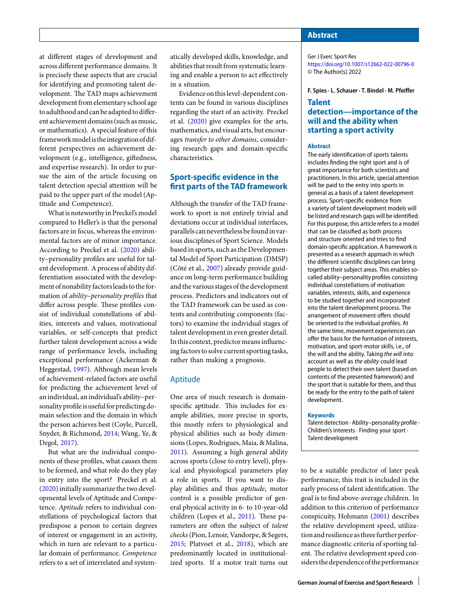at different stages of development and across different performance domains. It is precisely these aspects that are crucial for identifying and promoting talent development. The TAD maps achievement development from elementary school age to adulthood and can be adapted to different achievement domains (such as music, or mathematics). A special feature of this framework model is the integration of different perspectives on achievement development (e.g., intelligence, gifedness, and expertise research). In order to pursue the aim of the article focusing on talent detection special attention will be paid to the upper part of the model (Aptitude and Competence).

What is noteworthy in Preckel's model compared to Heller's is that the personal factors are in focus, whereas the environmental factors are of minor importance. According to Preckel et al. [\(2020\)](#page-8-10) ability–personality profiles are useful for talent development. A process of ability differentiation associated with the development of nonability factors leads to the formation of *ability–personality profiles* that differ across people. These profiles consist of individual constellations of abilities, interests and values, motivational variables, or self-concepts that predict further talent development across a wide range of performance levels, including exceptional performance (Ackerman & Heggestad, [1997\)](#page-7-9). Although mean levels of achievement-related factors are useful for predicting the achievement level of an individual, an individual's ability–personality profile is useful for predicting domain selection and the domain in which the person achieves best (Coyle, Purcell, Snyder, & Richmond, [2014;](#page-7-10) Wang, Ye, & Degol, [2017\)](#page-8-11).

But what are the individual components of these profiles, what causes them to be formed, and what role do they play in entry into the sport? Preckel et al. [\(2020\)](#page-8-10) initially summarize the two developmental levels of Aptitude and Competence. *Aptitude* refers to individual constellations of psychological factors that predispose a person to certain degrees of interest or engagement in an activity, which in turn are relevant to a particular domain of performance. *Competence* refers to a set of interrelated and systematically developed skills, knowledge, and abilities that result from systematic learning and enable a person to act effectively in a situation.

Evidence on thislevel-dependent contents can be found in various disciplines regarding the start of an activity. Preckel et al. [\(2020\)](#page-8-10) give examples for the arts, mathematics, and visual arts, but encourages *transfer to other domains*, considering research gaps and domain-specific characteristics.

## **Sport-specific evidence in the first parts of the TAD framework**

Although the transfer of the TAD framework to sport is not entirely trivial and deviations occur at individual interfaces, parallels can nevertheless befoundinvarious disciplines of Sport Science. Models based in sports, such as the Developmental Model of Sport Participation (DMSP) (Côté et al., [2007\)](#page-7-4) already provide guidance on long-term performance building and the various stages of the development process. Predictors and indicators out of the TAD framework can be used as contents and contributing components (factors) to examine the individual stages of talent development in even greater detail. In this context, predictor means influencingfactors to solve current sporting tasks, rather than making a prognosis.

## Aptitude

One area of much research is domainspecific aptitude. This includes for example abilities, more precise in sports, this mostly refers to physiological and physical abilities such as body dimensions (Lopes, Rodrigues, Maia, & Malina, [2011\)](#page-8-12). Assuming a high general ability across sports (close to entry level), physical and physiological parameters play a role in sports. If you want to display abilities and thus *aptitude*, motor control is a possible predictor of general physical activity in 6- to 10-year-old children (Lopes et al., [2011\)](#page-8-12). These parameters are often the subject of *talent checks*(Pion, Lenoir, Vandorpe, & Segers, [2015;](#page-8-13) Platvoet et al., [2018\)](#page-8-14), which are predominantly located in institutionalized sports. If a motor trait turns out

## **Abstract**

Ger J Exerc Sport Res <https://doi.org/10.1007/s12662-022-00796-0> © The Author(s) 2022

**F. Spies · L. Schauer · T. Bindel · M. Pfeiffer**

## **Talent detection—importance of the will and the ability when starting a sport activity**

#### **Abstract**

The early identification of sports talents includes finding the right sport and is of great importance for both scientists and practitioners. In this article, special attention will be paid to the entry into sports in general as a basis of a talent development process. Sport-specific evidence from a variety of talent development models will be listed and research gaps will be identified. For this purpose, this article refers to a model that can be classified as both process and structure oriented and tries to find domain-specific application. A framework is presented as a research approach in which the different scientific disciplines can bring together their subject areas. This enables socalled ability–personality profiles consisting individual constellations of motivation variables, interests, skills, and experience to be studied together and incorporated into the talent development process. The arrangement of movement offers should be oriented to the individual profiles. At the same time, movement experiences can offer the basis for the formation of interests, motivation, and sport-motor skills, i.e., of the will and the ability. Taking the will into account as well as the ability could lead people to detect their own talent (based on contents of the presented framework) and the sport that is suitable for them, and thus be ready for the entry to the path of talent development.

#### **Keywords**

Talent detection · Ability–personality profile · Children's interests · Finding your sport · Talent development

to be a suitable predictor of later peak performance, this trait is included in the early process of talent identification. The goal is to find above-average children. In addition to this criterion of performance conspicuity, Hohmann [\(2001\)](#page-8-15) describes the relative development speed, utilization and resilience as three further performance diagnostic criteria of sporting talent. The relative development speed considers the dependence of the performance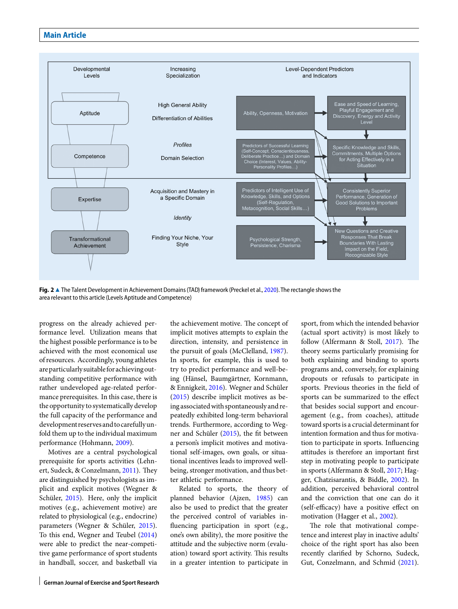

<span id="page-3-0"></span>**Fig. 2** A The Talent Development in Achievement Domains (TAD) framework (Preckel et al., [2020\)](#page-8-10). The rectangle shows the area relevant to this article (Levels Aptitude and Competence)

progress on the already achieved performance level. Utilization means that the highest possible performance is to be achieved with the most economical use of resources. Accordingly, young athletes are particularly suitableforachievingoutstanding competitive performance with rather undeveloped age-related performance prerequisites. In this case, there is the opportunity to systematically develop the full capacity of the performance and development reservesand tocarefullyunfold them up to the individual maximum performance (Hohmann, [2009\)](#page-8-1).

Motives are a central psychological prerequisite for sports activities (Lehn-ert, Sudeck, & Conzelmann, [2011\)](#page-8-16). They are distinguished by psychologists as implicit and explicit motives (Wegner & Schüler, [2015\)](#page-8-17). Here, only the implicit motives (e.g., achievement motive) are related to physiological (e.g., endocrine) parameters (Wegner & Schüler, [2015\)](#page-8-17). To this end, Wegner and Teubel [\(2014\)](#page-8-18) were able to predict the near-competitive game performance of sport students in handball, soccer, and basketball via the achievement motive. The concept of implicit motives attempts to explain the direction, intensity, and persistence in the pursuit of goals (McClelland, [1987\)](#page-8-19). In sports, for example, this is used to try to predict performance and well-being (Hänsel, Baumgärtner, Kornmann, & Ennigkeit, [2016\)](#page-8-20). Wegner and Schüler [\(2015\)](#page-8-17) describe implicit motives as being associated with spontaneously and repeatedly exhibited long-term behavioral trends. Furthermore, according to Wegner and Schüler [\(2015\)](#page-8-17), the fit between a person's implicit motives and motivational self-images, own goals, or situational incentives leads to improved wellbeing, stronger motivation, and thus better athletic performance.

Related to sports, the theory of planned behavior (Ajzen, [1985\)](#page-7-11) can also be used to predict that the greater the perceived control of variables influencing participation in sport (e.g., one's own ability), the more positive the attitude and the subjective norm (evaluation) toward sport activity. This results in a greater intention to participate in sport, from which the intended behavior (actual sport activity) is most likely to follow (Alfermann & Stoll, [2017\)](#page-7-12). The theory seems particularly promising for both explaining and binding to sports programs and, conversely, for explaining dropouts or refusals to participate in sports. Previous theories in the field of sports can be summarized to the effect that besides social support and encouragement (e.g., from coaches), attitude toward sports is a crucial determinant for intention formation and thus for motivation to participate in sports. Influencing attitudes is therefore an important first step in motivating people to participate in sports (Alfermann & Stoll, [2017;](#page-7-12) Hagger, Chatzisarantis, & Biddle, [2002\)](#page-7-13). In addition, perceived behavioral control and the conviction that one can do it (self-efficacy) have a positive effect on motivation (Hagger et al., [2002\)](#page-7-13).

The role that motivational competence and interest play in inactive adults' choice of the right sport has also been recently clarified by Schorno, Sudeck, Gut, Conzelmann, and Schmid [\(2021\)](#page-8-21).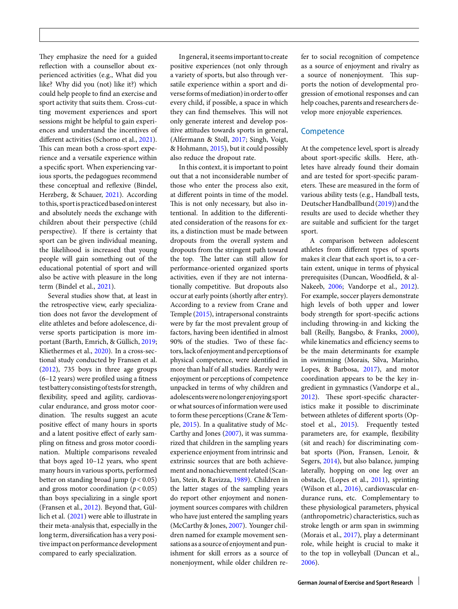They emphasize the need for a guided reflection with a counsellor about experienced activities (e.g., What did you like? Why did you (not) like it?) which could help people to find an exercise and sport activity that suits them. Cross-cutting movement experiences and sport sessions might be helpful to gain experiences and understand the incentives of different activities (Schorno et al., [2021\)](#page-8-21). This can mean both a cross-sport experience and a versatile experience within a specific sport. When experiencing various sports, the pedagogues recommend these conceptual and reflexive (Bindel, Herzberg, & Schauer, [2021\)](#page-7-14). According to this, sportis practiced based oninterest and absolutely needs the exchange with children about their perspective (child perspective). If there is certainty that sport can be given individual meaning, the likelihood is increased that young people will gain something out of the educational potential of sport and will also be active with pleasure in the long term (Bindel et al., [2021\)](#page-7-14).

Several studies show that, at least in the retrospective view, early specialization does not favor the development of elite athletes and before adolescence, diverse sports participation is more important (Barth, Emrich, & Güllich, [2019;](#page-7-15) Kliethermes et al., [2020\)](#page-8-22). In a cross-sectional study conducted by Fransen et al. [\(2012\)](#page-7-16), 735 boys in three age groups (6–12 years) were profiled using a fitness testbatteryconsistingof testsfor strength, flexibility, speed and agility, cardiovascular endurance, and gross motor coordination. The results suggest an acute positive effect of many hours in sports and a latent positive effect of early sampling on fitness and gross motor coordination. Multiple comparisons revealed that boys aged 10–12 years, who spent many hours in various sports, performed better on standing broad jump ( $p < 0.05$ ) and gross motor coordination  $(p < 0.05)$ than boys specializing in a single sport (Fransen et al., [2012\)](#page-7-16). Beyond that, Güllich et al. [\(2021\)](#page-7-1) were able to illustrate in their meta-analysis that, especially in the long term, diversification has a very positive impact on performance development compared to early specialization.

Ingeneral, it seemsimportant to create positive experiences (not only through a variety of sports, but also through versatile experience within a sport and diverse forms of mediation) in order to offer every child, if possible, a space in which they can find themselves. This will not only generate interest and develop positive attitudes towards sports in general, (Alfermann & Stoll, [2017;](#page-7-12) Singh, Voigt, & Hohmann, [2015\)](#page-8-23), but it could possibly also reduce the dropout rate.

In this context, it is important to point out that a not inconsiderable number of those who enter the process also exit, at different points in time of the model. This is not only necessary, but also intentional. In addition to the differentiated consideration of the reasons for exits, a distinction must be made between dropouts from the overall system and dropouts from the stringent path toward the top. The latter can still allow for performance-oriented organized sports activities, even if they are not internationally competitive. But dropouts also occur at early points (shortly after entry). According to a review from Crane and Temple [\(2015\)](#page-7-17), intrapersonal constraints were by far the most prevalent group of factors, having been identified in almost 90% of the studies. Two of these factors, lack of enjoyment and perceptions of physical competence, were identified in more than half of all studies. Rarely were enjoyment or perceptions of competence unpacked in terms of why children and adolescentswerenolongerenjoying sport or what sources of information were used to form these perceptions (Crane & Temple, [2015\)](#page-7-17). In a qualitative study of Mc-Carthy and Jones [\(2007\)](#page-8-24), it was summarized that children in the sampling years experience enjoyment from intrinsic and extrinsic sources that are both achievement and nonachievement related (Scanlan, Stein, & Ravizza, [1989\)](#page-8-25). Children in the latter stages of the sampling years do report other enjoyment and nonenjoyment sources compares with children who have just entered the sampling years (McCarthy & Jones, [2007\)](#page-8-24). Younger children named for example movement sensations as a source of enjoyment and punishment for skill errors as a source of nonenjoyment, while older children refer to social recognition of competence as a source of enjoyment and rivalry as a source of nonenjoyment. This supports the notion of developmental progression of emotional responses and can help coaches, parents and researchers develop more enjoyable experiences.

## **Competence**

At the competence level, sport is already about sport-specific skills. Here, athletes have already found their domain and are tested for sport-specific parameters. These are measured in the form of various ability tests (e.g., Handball tests, Deutscher Handballbund [\(2019\)](#page-7-18)) and the results are used to decide whether they are suitable and sufficient for the target sport.

A comparison between adolescent athletes from different types of sports makes it clear that each sport is, to a certain extent, unique in terms of physical prerequisites (Duncan, Woodfield, & al-Nakeeb, [2006;](#page-7-19) Vandorpe et al., [2012\)](#page-8-26). For example, soccer players demonstrate high levels of both upper and lower body strength for sport-specific actions including throwing-in and kicking the ball (Reilly, Bangsbo, & Franks, [2000\)](#page-8-27), while kinematics and efficiency seems to be the main determinants for example in swimming (Morais, Silva, Marinho, Lopes, & Barbosa, [2017\)](#page-8-28), and motor coordination appears to be the key ingredient in gymnastics (Vandorpe et al., [2012\)](#page-8-26). These sport-specific characteristics make it possible to discriminate between athletes of different sports (Opstoel et al., [2015\)](#page-8-29). Frequently tested parameters are, for example, flexibility (sit and reach) for discriminating combat sports (Pion, Fransen, Lenoir, & Segers, [2014\)](#page-8-30), but also balance, jumping laterally, hopping on one leg over an obstacle, (Lopes et al., [2011\)](#page-8-12), sprinting (Wilson et al., [2016\)](#page-8-31), cardiovascular endurance runs, etc. Complementary to these physiological parameters, physical (anthropometric) characteristics, such as stroke length or arm span in swimming (Morais et al., [2017\)](#page-8-28), play a determinant role, while height is crucial to make it to the top in volleyball (Duncan et al., [2006\)](#page-7-19).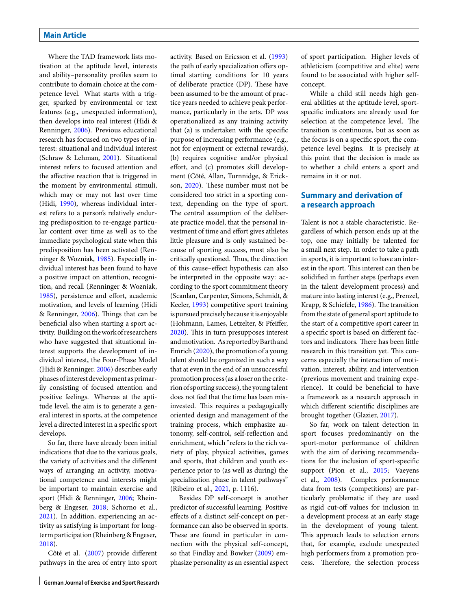Where the TAD framework lists motivation at the aptitude level, interests and ability–personality profiles seem to contribute to domain choice at the competence level. What starts with a trigger, sparked by environmental or text features (e.g., unexpected information), then develops into real interest (Hidi & Renninger, [2006\)](#page-8-32). Previous educational research has focused on two types of interest: situational and individual interest (Schraw & Lehman, [2001\)](#page-8-33). Situational interest refers to focused attention and the affective reaction that is triggered in the moment by environmental stimuli, which may or may not last over time (Hidi, [1990\)](#page-8-34), whereas individual interest refers to a person's relatively enduring predisposition to re-engage particular content over time as well as to the immediate psychological state when this predisposition has been activated (Renninger & Wozniak, [1985\)](#page-8-35). Especially individual interest has been found to have a positive impact on attention, recognition, and recall (Renninger & Wozniak, [1985\)](#page-8-35), persistence and effort, academic motivation, and levels of learning (Hidi & Renninger, [2006\)](#page-8-32). Things that can be beneficial also when starting a sport activity. Building on thework of researchers who have suggested that situational interest supports the development of individual interest, the Four-Phase Model (Hidi & Renninger, [2006\)](#page-8-32) describes early phases ofinterest development as primarily consisting of focused attention and positive feelings. Whereas at the aptitude level, the aim is to generate a general interest in sports, at the competence level a directed interest in a specific sport develops.

So far, there have already been initial indications that due to the various goals, the variety of activities and the different ways of arranging an activity, motivational competence and interests might be important to maintain exercise and sport (Hidi & Renninger, [2006;](#page-8-32) Rheinberg & Engeser, [2018;](#page-8-36) Schorno et al., [2021\)](#page-8-21). In addition, experiencing an activity as satisfying is important for longterm participation (Rheinberg&Engeser, [2018\)](#page-8-36).

Côté et al. [\(2007\)](#page-7-4) provide different pathways in the area of entry into sport activity. Based on Ericsson et al. [\(1993\)](#page-7-5) the path of early specialization offers optimal starting conditions for 10 years of deliberate practice (DP). These have been assumed to be the amount of practice years needed to achieve peak performance, particularly in the arts. DP was operationalized as any training activity that (a) is undertaken with the specific purpose of increasing performance (e.g., not for enjoyment or external rewards), (b) requires cognitive and/or physical effort, and (c) promotes skill development (Côté, Allan, Turnnidge, & Erick-son, [2020\)](#page-7-20). These number must not be considered too strict in a sporting context, depending on the type of sport. The central assumption of the deliberate practice model, that the personal investment of time and effort gives athletes little pleasure and is only sustained because of sporting success, must also be critically questioned. Thus, the direction of this cause–effect hypothesis can also be interpreted in the opposite way: according to the sport commitment theory (Scanlan, Carpenter, Simons, Schmidt, & Keeler, [1993\)](#page-8-37) competitive sport training is pursued precisely because it is enjoyable (Hohmann, Lames, Letzelter, & Pfeiffer, [2020\)](#page-8-38). This in turn presupposes interest and motivation. As reported by Barth and Emrich [\(2020\)](#page-7-21), the promotion of a young talent should be organized in such a way that at even in the end of an unsuccessful promotion process (as a loser on the criterion of sporting success), the young talent does not feel that the time has been misinvested. This requires a pedagogically oriented design and management of the training process, which emphasize autonomy, self-control, self-reflection and enrichment, which "refers to the rich variety of play, physical activities, games and sports, that children and youth experience prior to (as well as during) the specialization phase in talent pathways" (Ribeiro et al., [2021,](#page-8-39) p. 1116).

Besides DP self-concept is another predictor of successful learning. Positive effects of a distinct self-concept on performance can also be observed in sports. These are found in particular in connection with the physical self-concept, so that Findlay and Bowker [\(2009\)](#page-7-22) emphasize personality as an essential aspect of sport participation. Higher levels of athleticism (competitive and elite) were found to be associated with higher selfconcept.

While a child still needs high general abilities at the aptitude level, sportspecific indicators are already used for selection at the competence level. The transition is continuous, but as soon as the focus is on a specific sport, the competence level begins. It is precisely at this point that the decision is made as to whether a child enters a sport and remains in it or not.

## **Summary and derivation of a research approach**

Talent is not a stable characteristic. Regardless of which person ends up at the top, one may initially be talented for a small next step. In order to take a path in sports, it is important to have an interest in the sport. This interest can then be solidified in further steps (perhaps even in the talent development process) and mature into lasting interest (e.g., Prenzel, Krapp, & Schiefele, [1986\)](#page-8-40). The transition from the state of general sport aptitude to the start of a competitive sport career in a specific sport is based on different factors and indicators. There has been little research in this transition yet. This concerns especially the interaction of motivation, interest, ability, and intervention (previous movement and training experience). It could be beneficial to have a framework as a research approach in which different scientific disciplines are brought together (Glazier, [2017\)](#page-7-23).

So far, work on talent detection in sport focuses predominantly on the sport-motor performance of children with the aim of deriving recommendations for the inclusion of sport-specific support (Pion et al., [2015;](#page-8-41) Vaeyens et al., [2008\)](#page-8-3). Complex performance data from tests (competitions) are particularly problematic if they are used as rigid cut-off values for inclusion in a development process at an early stage in the development of young talent. This approach leads to selection errors that, for example, exclude unexpected high performers from a promotion process. Therefore, the selection process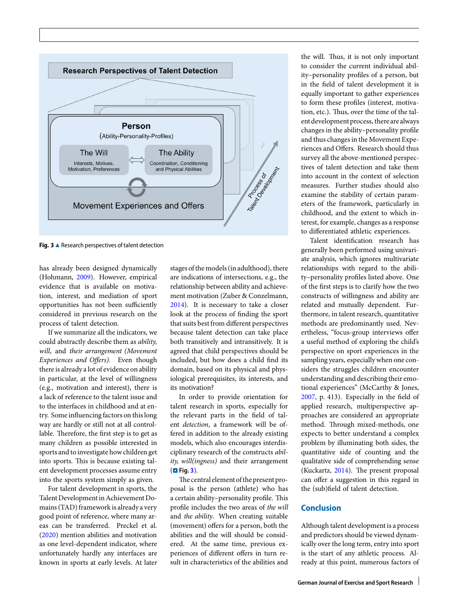

<span id="page-6-0"></span>**Fig. 3 ▲ Research perspectives of talent detection** 

has already been designed dynamically (Hohmann, [2009\)](#page-8-1). However, empirical evidence that is available on motivation, interest, and mediation of sport opportunities has not been sufficiently considered in previous research on the process of talent detection.

If we summarize all the indicators, we could abstractly describe them as *ability, will*, and *their arrangement (Movement Experiences and Offers).* Even though there is already a lot of evidence on ability in particular, at the level of willingness (e.g., motivation and interest), there is a lack of reference to the talent issue and to the interfaces in childhood and at entry. Some influencing factors on this long way are hardly or still not at all controllable. Therefore, the first step is to get as many children as possible interested in sports and to investigate how children get into sports. This is because existing talent development processes assume entry into the sports system simply as given.

For talent development in sports, the Talent Development in Achievement Domains (TAD) framework is already a very good point of reference, where many areas can be transferred. Preckel et al. [\(2020\)](#page-8-10) mention abilities and motivation as one level-dependent indicator, where unfortunately hardly any interfaces are known in sports at early levels. At later stages of the models (in adulthood), there are indications of intersections, e.g., the relationship between ability and achievement motivation (Zuber & Conzelmann, [2014\)](#page-9-0). It is necessary to take a closer look at the process of finding the sport that suits best from different perspectives because talent detection can take place both transitively and intransitively. It is agreed that child perspectives should be included, but how does a child find its domain, based on its physical and physiological prerequisites, its interests, and its motivation?

In order to provide orientation for talent research in sports, especially for the relevant parts in the field of talent *detection*, a framework will be offered in addition to the already existing models, which also encourages interdisciplinary research of the constructs *ability, will(ingness)* and their arrangement (. **Fig. [3](#page-6-0)**).

The central element of the present proposal is the person (athlete) who has a certain ability-personality profile. This profile includes the two areas of *the will* and *the ability*. When creating suitable (movement) offers for a person, both the abilities and the will should be considered. At the same time, previous experiences of different offers in turn result in characteristics of the abilities and the will. Thus, it is not only important to consider the current individual ability–personality profiles of a person, but in the field of talent development it is equally important to gather experiences to form these profiles (interest, motivation, etc.). Thus, over the time of the talent development process, there are always changes in the ability–personality profile and thus changes in the Movement Experiences and Offers. Research should thus survey all the above-mentioned perspectives of talent detection and take them into account in the context of selection measures. Further studies should also examine the stability of certain parameters of the framework, particularly in childhood, and the extent to which interest, for example, changes as a response to differentiated athletic experiences.

Talent identification research has generally been performed using univariate analysis, which ignores multivariate relationships with regard to the ability–personality profiles listed above. One of the first steps is to clarify how the two constructs of willingness and ability are related and mutually dependent. Furthermore, in talent research, quantitative methods are predominantly used. Nevertheless, "focus-group interviews offer a useful method of exploring the child's perspective on sport experiences in the sampling years, especially when one considers the struggles children encounter understanding and describing their emotional experiences" (McCarthy & Jones, [2007,](#page-8-24) p. 413). Especially in the field of applied research, multiperspective approaches are considered an appropriate method. Through mixed-methods, one expects to better understand a complex problem by illuminating both sides, the quantitative side of counting and the qualitative side of comprehending sense (Kuckartz,  $2014$ ). The present proposal can offer a suggestion in this regard in the (sub)field of talent detection.

## **Conclusion**

Although talent development is a process and predictors should be viewed dynamically over the long term, entry into sport is the start of any athletic process. Already at this point, numerous factors of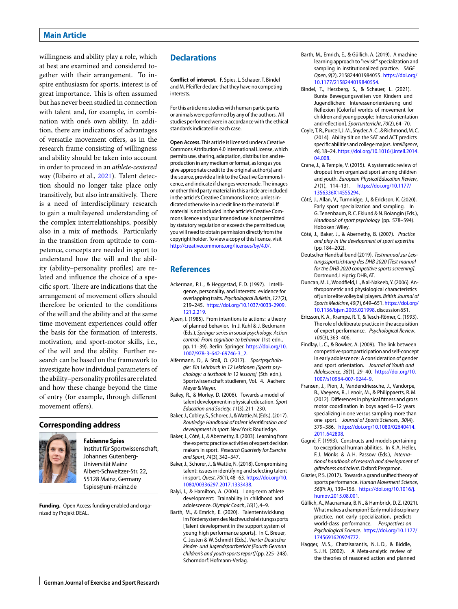willingness and ability play a role, which at best are examined and considered together with their arrangement. To inspire enthusiasm for sports, interest is of great importance. This is often assumed but has never been studied in connection with talent and, for example, in combination with one's own ability. In addition, there are indications of advantages of versatile movement offers, as in the research frame consisting of willingness and ability should be taken into account in order to proceed in an *athlete-centered* way (Ribeiro et al., [2021\)](#page-8-39). Talent detection should no longer take place only transitively, but also intransitively. There is a need of interdisciplinary research to gain a multilayered understanding of the complex interrelationships, possibly also in a mix of methods. Particularly in the transition from aptitude to competence, concepts are needed in sport to understand how the will and the ability (ability–personality profiles) are related and influence the choice of a specific sport. There are indications that the arrangement of movement offers should therefore be oriented to the conditions of the will and the ability and at the same time movement experiences could offer the basis for the formation of interests, motivation, and sport-motor skills, i.e., of the will and the ability. Further research can be based on the framework to investigate how individual parameters of the ability–personality profiles are related and how these change beyond the time of entry (for example, through different movement offers).

## **Corresponding address**



**Fabienne Spies**

Institut für Sportwissenschaft, Johannes Gutenberg-Universität Mainz Albert-Schweitzer-Str. 22, 55128 Mainz, Germany f.spies@uni-mainz.de

**Funding.** Open Access funding enabled and organized by Projekt DEAL.

## **Declarations**

**Conflict of interest.** F. Spies, L. Schauer, T. Bindel and M. Pfeiffer declare that they have no competing interests.

For this article no studies with human participants or animals were performed by any of the authors. All studies performed were in accordance with the ethical standards indicated in each case.

**Open Access.** This article is licensed under a Creative Commons Attribution 4.0 International License, which permits use, sharing, adaptation, distribution and reproduction in any medium or format, as long as you give appropriate credit to the original author(s) and the source, provide a link to the Creative Commons licence, and indicate if changes were made. The images or other third party material in this article are included in the article's Creative Commons licence, unless indicated otherwise in a credit line to the material. If material is not included in the article's Creative Commons licence and your intended use is not permitted by statutory regulation or exceeds the permitted use, you will need to obtain permission directly from the copyright holder. To view a copy of this licence, visit [http://creativecommons.org/licenses/by/4.0/.](http://creativecommons.org/licenses/by/4.0/)

### **References**

- <span id="page-7-9"></span>Ackerman, P.L., & Heggestad, E.D. (1997). Intelligence, personality, and interests: evidence for overlapping traits. Psychological Bulletin, 121(2), 219–245. [https://doi.org/10.1037/0033-2909.](https://doi.org/10.1037/0033-2909.121.2.219) [121.2.219.](https://doi.org/10.1037/0033-2909.121.2.219)
- <span id="page-7-11"></span>Ajzen, I. (1985). From intentions to actions: a theory of planned behavior. In J. Kuhl & J. Beckmann (Eds.), Springer series in social psychology. Action control: From cognition to behavior (1st edn., pp. 11–39). Berlin: Springer. [https://doi.org/10.](https://doi.org/10.1007/978-3-642-69746-3_2) [1007/978-3-642-69746-3\\_2.](https://doi.org/10.1007/978-3-642-69746-3_2)
- <span id="page-7-12"></span>Alfermann, D., & Stoll, O. (2017). Sportpsychologie: Ein Lehrbuch in 12 Lektionen [Sports psychology: a textbook in 12 lessons] (5th edn.). Sportwissenschaft studieren, Vol. 4. Aachen: Meyer&Meyer.
- <span id="page-7-7"></span>Bailey, R., & Morley, D. (2006). Towards a model of talent development in physical education. Sport Education and Society, 11(3),211–230.
- <span id="page-7-0"></span>Baker, J., Cobley, S., Schorer, J., & Wattie, N. (Eds.). (2017). Routledge Handbook of talent identifcation and development in sport. New York: Routledge.
- <span id="page-7-2"></span>Baker, J., Côté, J., & Abernethy, B.(2003). Learningfrom the experts: practice activities of expert decision makers in sport. Research Quarterly for Exercise and Sport, 74(3),342–347.
- <span id="page-7-8"></span>Baker, J., Schorer, J., & Wattie, N.(2018). Compromising talent: issues in identifying and selecting talent in sport. Quest, 70(1), 48–63. [https://doi.org/10.](https://doi.org/10.1080/00336297.2017.1333438) [1080/00336297.2017.1333438.](https://doi.org/10.1080/00336297.2017.1333438)
- <span id="page-7-3"></span>Balyi, I., & Hamilton, A. (2004). Long-term athlete development: Trainability in childhood and adolescence. Olympic Coach, 16(1), 4-9.
- <span id="page-7-21"></span>Barth, M., & Emrich, E. (2020). Talententwicklung im Fördersystem des Nachwuchsleistungssports [Talent development in the support system of young high performance sports]. In C. Breuer, C. Josten & W. Schmidt (Eds.), Vierter Deutscher kinder- und Jugendsportbericht [Fourth German children's and youth sports report](pp. 225–248). Schorndorf: Hofmann-Verlag.
- <span id="page-7-15"></span>Barth, M., Emrich, E., & Güllich, A. (2019). A machine learning approach to "revisit" specialization and sampling in institutionalized practice. SAGE Open, 9(2), 215824401984055. [https://doi.org/](https://doi.org/10.1177/2158244019840554) [10.1177/2158244019840554.](https://doi.org/10.1177/2158244019840554)
- <span id="page-7-14"></span>Bindel, T., Herzberg, S., & Schauer, L. (2021). Bunte Bewegungswelten von Kindern und Jugendlichen: Interessenorientierung und Reflexion [Colorful worlds of movement for children and young people: Interest orientation and reflection]. Sportunterricht, 70(2),64–70.
- <span id="page-7-10"></span>Coyle, T. R., Purcell, J. M., Snyder, A. C., & Richmond, M. C. (2014). Ability tilt on the SAT and ACT predicts specific abilities and college majors. Intelligence, 46, 18–24. [https://doi.org/10.1016/j.intell.2014.](https://doi.org/10.1016/j.intell.2014.04.008) [04.008.](https://doi.org/10.1016/j.intell.2014.04.008)
- <span id="page-7-17"></span>Crane, J., & Temple, V. (2015). A systematic review of dropout from organized sport among children and youth. European Physical Education Review, 21(1), 114–131. [https://doi.org/10.1177/](https://doi.org/10.1177/1356336X14555294) [1356336X14555294.](https://doi.org/10.1177/1356336X14555294)
- <span id="page-7-20"></span>Côté, J., Allan, V., Turnnidge, J., & Erickson, K. (2020). Early sport specialization and sampling. In G. Tenenbaum, R. C. Eklund & N. Boiangin (Eds.), Handbook of sport psychology (pp. 578–594). Hoboken: Wiley.
- <span id="page-7-4"></span>Côté, J., Baker, J., & Abernethy, B. (2007). Practice and play in the development of sport expertise (pp.184–202).
- <span id="page-7-18"></span>Deutscher Handballbund (2019). Testmanual zur Leistungssportsichtung des DHB 2020 [Test manual for the DHB 2020 competitive sports screening]. Dortmund, Leipzig: DHB, AT.
- <span id="page-7-19"></span>Duncan, M. J., Woodfield, L., & al-Nakeeb, Y.(2006). Anthropometric and physiological characteristics ofjuniorelite volleyball players. British Journal of Sports Medicine, 40(7),649–651. [https://doi.org/](https://doi.org/10.1136/bjsm.2005.021998) [10.1136/bjsm.2005.021998.](https://doi.org/10.1136/bjsm.2005.021998) discussion651.
- <span id="page-7-5"></span>Ericsson, K. A., Krampe, R. T., & Tesch-Römer, C. (1993). The role of deliberate practice in the acquisition of expert performance. Psychological Review, 100(3),363–406.
- <span id="page-7-22"></span>Findlay, L. C., & Bowker, A. (2009). The link between competitive sportparticipationand self-concept in early adolescence: A consideration of gender and sport orientation. Journal of Youth and Adolescence, 38(1), 29–40. [https://doi.org/10.](https://doi.org/10.1007/s10964-007-9244-9) [1007/s10964-007-9244-9.](https://doi.org/10.1007/s10964-007-9244-9)
- <span id="page-7-16"></span>Fransen, J., Pion, J., Vandendriessche, J., Vandorpe, B., Vaeyens, R., Lenoir, M., & Philippaerts, R. M. (2012). Differences in physical fitness and gross motor coordination in boys aged 6–12 years specializing in one versus sampling more than one sport. Journal of Sports Sciences, 30(4), 379–386. [https://doi.org/10.1080/02640414.](https://doi.org/10.1080/02640414.2011.642808) [2011.642808.](https://doi.org/10.1080/02640414.2011.642808)
- <span id="page-7-6"></span>Gagné, F. (1993). Constructs and models pertaining to exceptional human abilities. In K. A. Heller, F.J. Mönks & A.H. Passow (Eds.), International handbook of research and development of giftedness and talent. Oxford: Pergamon.
- <span id="page-7-23"></span>Glazier, P. S. (2017). Towards a grand unified theory of sports performance. Human Movement Science, 56(Pt A), 139–156. [https://doi.org/10.1016/j.](https://doi.org/10.1016/j.humov.2015.08.001) [humov.2015.08.001.](https://doi.org/10.1016/j.humov.2015.08.001)
- <span id="page-7-1"></span>Güllich, A., Macnamara, B. N., & Hambrick, D. Z. (2021). What makes a champion? Early multidisciplinary practice, not early specialization, predicts world-class performance. Perspectives on Psychological Science. [https://doi.org/10.1177/](https://doi.org/10.1177/1745691620974772) [1745691620974772.](https://doi.org/10.1177/1745691620974772)
- <span id="page-7-13"></span>Hagger, M. S., Chatzisarantis, N. L. D., & Biddle, S. J. H. (2002). A Meta-analytic review of the theories of reasoned action and planned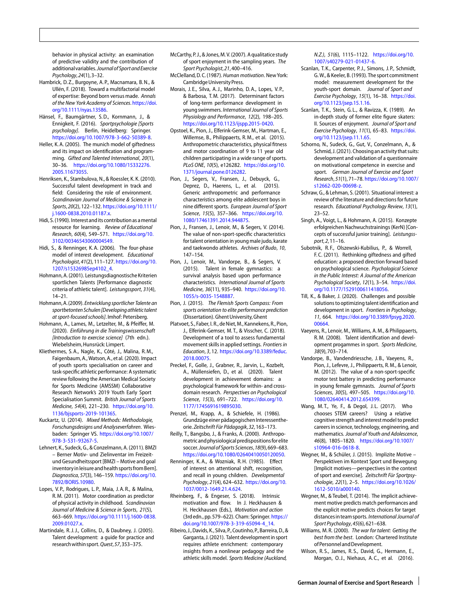behavior in physical activity: an examination of predictive validity and the contribution of additionalvariables.Journal of Sport and Exercise Psychology, 24(1),3–32.

- <span id="page-8-8"></span>Hambrick, D. Z., Burgoyne, A. P., Macnamara, B. N., & Ullén, F. (2018). Toward a multifactorial model of expertise: Beyond born versus made. Annals of the New York Academy of Sciences. [https://doi.](https://doi.org/10.1111/nyas.13586) [org/10.1111/nyas.13586.](https://doi.org/10.1111/nyas.13586)
- <span id="page-8-20"></span>Hänsel, F., Baumgärtner, S. D., Kornmann, J., & Ennigkeit, F. (2016). Sportpsychologie [Sports psychology]. Berlin, Heidelberg: Springer. [https://doi.org/10.1007/978-3-662-50389-8.](https://doi.org/10.1007/978-3-662-50389-8)
- <span id="page-8-7"></span>Heller, K. A. (2005). The munich model of giftedness and its impact on identification and programming. Gifted and Talented International, 20(1), 30–36. [https://doi.org/10.1080/15332276.](https://doi.org/10.1080/15332276.2005.11673055) [2005.11673055.](https://doi.org/10.1080/15332276.2005.11673055)
- <span id="page-8-6"></span>Henriksen, K., Stambulova, N., & Roessler, K. K. (2010). Successful talent development in track and field: Considering the role of environment. Scandinavian Journal of Medicine & Science in Sports, 20(2), 122–132. [https://doi.org/10.1111/](https://doi.org/10.1111/j.1600-0838.2010.01187.x) [j.1600-0838.2010.01187.x.](https://doi.org/10.1111/j.1600-0838.2010.01187.x)
- <span id="page-8-34"></span>Hidi, S.(1990). Interest and its contribution as amental resource for learning. Review of Educational Research, 60(4), 549–571. [https://doi.org/10.](https://doi.org/10.3102/00346543060004549) [3102/00346543060004549.](https://doi.org/10.3102/00346543060004549)
- <span id="page-8-32"></span>Hidi, S., & Renninger, K. A. (2006). The four-phase model of interest development. Educational Psychologist, 41(2), 111–127. [https://doi.org/10.](https://doi.org/10.1207/s15326985ep4102_4) [1207/s15326985ep4102\\_4.](https://doi.org/10.1207/s15326985ep4102_4)
- <span id="page-8-15"></span>Hohmann, A.(2001). Leistungsdiagnostische Kriterien sportlichen Talents [Performance diagnostic criteria of athletic talent]. Leistungssport, 31(4), 14–21.
- <span id="page-8-1"></span>Hohmann,A.(2009). Entwicklung sportlicher Talente an sportbetonten Schulen [Developing athletic talent at sport-focused schools]. Imhof: Petersberg.
- <span id="page-8-38"></span>Hohmann, A., Lames, M., Letzelter, M., & Pfeiffer, M. (2020). Einführung in die Trainingswissenschaft [Introduction to exercise science] (7th edn.). Wiebelsheim,Hunsrück: Limpert.
- <span id="page-8-22"></span>Kliethermes, S. A., Nagle, K., Côté, J., Malina, R. M., Faigenbaum, A., Watson, A., et al. (2020). Impact of youth sports specialisation on career and task-specific athletic performance: A systematic review following the American Medical Society for Sports Medicine (AMSSM) Collaborative Research Network's 2019 Youth Early Sport Specialisation Summit. British Journal of Sports Medicine, 54(4), 221–230. [https://doi.org/10.](https://doi.org/10.1136/bjsports-2019-101365) [1136/bjsports-2019-101365.](https://doi.org/10.1136/bjsports-2019-101365)
- <span id="page-8-42"></span>Kuckartz, U. (2014). Mixed Methods: Methodologie, Forschungsdesigns und Analyseverfahren. Wiesbaden: Springer VS. [https://doi.org/10.1007/](https://doi.org/10.1007/978-3-531-93267-5) [978-3-531-93267-5.](https://doi.org/10.1007/978-3-531-93267-5)
- <span id="page-8-16"></span>Lehnert, K., Sudeck, G., & Conzelmann, A. (2011). BMZI – Berner Motiv- und Zielinventar im Freizeitund Gesundheitssport [BMZI – Motive and goal inventory in leisure and health sports from Bern]. Diagnostica, 57(3), 146–159. [https://doi.org/10.](https://doi.org/10.7892/BORIS.10980) [7892/BORIS.10980.](https://doi.org/10.7892/BORIS.10980)
- <span id="page-8-12"></span>Lopes, V. P., Rodrigues, L. P., Maia, J. A. R., & Malina, R. M. (2011). Motor coordination as predictor of physical activity in childhood. Scandinavian Journal of Medicine & Science in Sports, 21(5), 663–669. [https://doi.org/10.1111/j.1600-0838.](https://doi.org/10.1111/j.1600-0838.2009.01027.x) [2009.01027.x.](https://doi.org/10.1111/j.1600-0838.2009.01027.x)
- <span id="page-8-2"></span>Martindale, R. J. J., Collins, D., & Daubney, J. (2005). Talent development: a guide for practice and researchwithin sport.Quest, 57,353–375.
- <span id="page-8-24"></span>McCarthy, P. J., & Jones, M. V.(2007). A qualitatice study of sport enjoyment in the sampling years. The Sport Psychologist, 21,400–416.
- <span id="page-8-28"></span><span id="page-8-19"></span>McClelland, D. C.(1987). Human motivation. New York: CambridgeUniversityPress.
- Morais, J. E., Silva, A. J., Marinho, D. A., Lopes, V. P., & Barbosa, T. M. (2017). Determinant factors of long-term performance development in young swimmers. International Journal of Sports Physiology and Performance, 12(2), 198–205. [https://doi.org/10.1123/ijspp.2015-0420.](https://doi.org/10.1123/ijspp.2015-0420)
- <span id="page-8-29"></span>Opstoel, K., Pion, J., Elferink-Gemser, M., Hartman, E., Willemse, B., Philippaerts, R. M., et al. (2015). Anthropometric characteristics, physical fitness and motor coordination of 9 to 11 year old children participating in a wide range of sports. PLoS ONE, 10(5), e126282. [https://doi.org/10.](https://doi.org/10.1371/journal.pone.0126282) [1371/journal.pone.0126282.](https://doi.org/10.1371/journal.pone.0126282)
- <span id="page-8-41"></span>Pion, J., Segers, V., Fransen, J., Debuyck, G., Deprez, D., Haerens, L., et al. (2015). Generic anthropometric and performance characteristics among elite adolescent boys in nine different sports. European Journal of Sport Science, 15(5), 357–366. [https://doi.org/10.](https://doi.org/10.1080/17461391.2014.944875) [1080/17461391.2014.944875.](https://doi.org/10.1080/17461391.2014.944875)
- <span id="page-8-30"></span>Pion, J., Fransen, J., Lenoir, M., & Segers, V. (2014). The value of non-sport-specific characteristics for talent orientation in young male judo, karate and taekwondo athletes. Archives of Budo, 10, 147–154.
- <span id="page-8-13"></span>Pion, J., Lenoir, M., Vandorpe, B., & Segers, V. (2015). Talent in female gymnastics: a survival analysis based upon performance characteristics. International Journal of Sports Medicine, 36(11), 935–940. [https://doi.org/10.](https://doi.org/10.1055/s-0035-1548887) [1055/s-0035-1548887.](https://doi.org/10.1055/s-0035-1548887)
- <span id="page-8-4"></span>Pion, J. (2015). The Flemish Sports Compass: From sports orientation to elite performance prediction (Dissertation). Ghent University, Ghent
- <span id="page-8-14"></span>Platvoet, S., Faber, I. R., de Niet, M., Kannekens, R., Pion, J., Elferink-Gemser, M. T., & Visscher, C. (2018). Development of a tool to assess fundamental movement skills in applied settings. Frontiers in Education, 3, 12. [https://doi.org/10.3389/feduc.](https://doi.org/10.3389/feduc.2018.00075) [2018.00075.](https://doi.org/10.3389/feduc.2018.00075)
- <span id="page-8-10"></span>Preckel, F., Golle, J., Grabner, R., Jarvin, L., Kozbelt, A., Müllensiefen, D., et al. (2020). Talent development in achievement domains: a psychological framework for within- and crossdomain research. Perspectives on Psychological Science, 15(3), 691–722. [https://doi.org/10.](https://doi.org/10.1177/1745691619895030) [1177/1745691619895030.](https://doi.org/10.1177/1745691619895030)
- <span id="page-8-40"></span>Prenzel, M., Krapp, A., & Schiefele, H. (1986). Grundzüge einer pädagogischen Interessentheorie. Zeitschrift Für Pädagogik, 32,163–173.
- <span id="page-8-27"></span>Reilly, T., Bangsbo, J., & Franks, A. (2000). Anthropometricand physiological predispositionsforelite soccer.Journal of Sports Sciences,18(9),669–683. [https://doi.org/10.1080/02640410050120050.](https://doi.org/10.1080/02640410050120050)
- <span id="page-8-35"></span>Renninger, K. A., & Wozniak, R. H. (1985). Effect of interest on attentional shift, recognition, and recall in young children. Developmental Psychology, 21(4), 624–632. [https://doi.org/10.](https://doi.org/10.1037/0012-1649.21.4.624) [1037/0012-1649.21.4.624.](https://doi.org/10.1037/0012-1649.21.4.624)
- <span id="page-8-36"></span>Rheinberg, F., & Engeser, S. (2018). Intrinsic motivation and flow. In J. Heckhausen & H. Heckhausen (Eds.), Motivation and action (3rdedn., pp.579–622). Cham: Springer. [https://](https://doi.org/10.1007/978-3-319-65094-4_14) [doi.org/10.1007/978-3-319-65094-4\\_14.](https://doi.org/10.1007/978-3-319-65094-4_14)
- <span id="page-8-39"></span>Ribeiro, J., Davids, K., Silva, P., Coutinho, P., Barreira.D.. & Garganta, J.(2021). Talent development in sport requires athlete enrichment: contemporary insights from a nonlinear pedagogy and the athletic skills model. Sports Medicine (Auckland,

N.Z.), 51(6), 1115–1122. [https://doi.org/10.](https://doi.org/10.1007/s40279-021-01437-6) [1007/s40279-021-01437-6.](https://doi.org/10.1007/s40279-021-01437-6)

- <span id="page-8-37"></span>Scanlan, T. K., Carpenter, P. J., Simons, J. P., Schmidt, G. W., & Keeler, B. (1993). The sport commitment model: measurement development for the youth-sport domain. Journal of Sport and Exercise Psychology, 15(1), 16–38. [https://doi.](https://doi.org/10.1123/jsep.15.1.16) [org/10.1123/jsep.15.1.16.](https://doi.org/10.1123/jsep.15.1.16)
- <span id="page-8-25"></span>Scanlan, T. K., Stein, G. L., & Ravizza, K. (1989). An in-depth study of former elite figure skaters: II. Sources of enjoyment. Journal of Sport and Exercise Psychology, 11(1), 65–83. [https://doi.](https://doi.org/10.1123/jsep.11.1.65) [org/10.1123/jsep.11.1.65.](https://doi.org/10.1123/jsep.11.1.65)
- <span id="page-8-21"></span>Schorno, N., Sudeck, G., Gut, V., Conzelmann, A., & Schmid, J.(2021). Choosing an activity that suits: development and validation of a questionnaire on motivational competence in exercise and sport. German Journal of Exercise and Sport Research, 51(1), 71–78. [https://doi.org/10.1007/](https://doi.org/10.1007/s12662-020-00698-z) [s12662-020-00698-z.](https://doi.org/10.1007/s12662-020-00698-z)
- <span id="page-8-33"></span>Schraw, G., & Lehman, S. (2001). Situational interest: a review of the literature and directions for future research. Educational Psychology Review, 13(1), 23–52.
- <span id="page-8-23"></span>Singh, A., Voigt, L., & Hohmann, A. (2015). Konzepte erfolgreichen Nachwuchstrainings (KerN) [Concepts of successful junior training]. Leistungssport, 2,11–16.
- <span id="page-8-9"></span>Subotnik, R.F., Olszewski-Kubilius, P., & Worrell, F. C. (2011). Rethinking giftedness and gifted education: a proposed direction forward based on psychological science. Psychological Science in the Public Interest: A Journal of the American Psychological Society, 12(1), 3–54. [https://doi.](https://doi.org/10.1177/1529100611418056) [org/10.1177/1529100611418056.](https://doi.org/10.1177/1529100611418056)
- <span id="page-8-5"></span>Till, K., & Baker, J. (2020). Challenges and possible solutions to optimizing talent identification and development in sport. Frontiers in Psychology, 11, 664. [https://doi.org/10.3389/fpsyg.2020.](https://doi.org/10.3389/fpsyg.2020.00664) [00664.](https://doi.org/10.3389/fpsyg.2020.00664)
- <span id="page-8-3"></span>Vaeyens, R., Lenoir, M., Williams, A. M., & Philippaerts, R. M. (2008). Talent identification and development progammes in sport. Sports Medicine, 38(9),703–714.
- <span id="page-8-26"></span>Vandorpe, B., Vandendriessche, J. B., Vaeyens, R., Pion, J., Lefevre, J., Philippaerts, R. M., & Lenoir, M. (2012). The value of a non-sport-specific motor test battery in predicting performance in young female gymnasts. Journal of Sports Sciences, 30(5), 497–505. [https://doi.org/10.](https://doi.org/10.1080/02640414.2012.654399) [1080/02640414.2012.654399.](https://doi.org/10.1080/02640414.2012.654399)
- <span id="page-8-11"></span>Wang, M.T., Ye, F., & Degol, J.L. (2017). Who chooses STEM careers? Using a relative cognitive strength and interest model to predict careers in science, technology, engineering, and mathematics. Journal of Youth and Adolescence, 46(8), 1805–1820. [https://doi.org/10.1007/](https://doi.org/10.1007/s10964-016-0618-8) [s10964-016-0618-8.](https://doi.org/10.1007/s10964-016-0618-8)
- <span id="page-8-17"></span>Wegner, M., & Schüler, J. (2015). Implizite Motive – Perspektiven im Kontext Sport und Bewegung [Implicit motives—perspectives in the context of sport and exercise]. Zeitschrift Für Sportpsychologie, 22(1), 2–5. [https://doi.org/10.1026/](https://doi.org/10.1026/1612-5010/a000140) [1612-5010/a000140.](https://doi.org/10.1026/1612-5010/a000140)
- <span id="page-8-18"></span>Wegner, M., & Teubel, T. (2014). The implicit achievement motive predicts match performances and the explicit motive predicts choices for target distances in team sports. International Journal of Sport Psychology, 45(6),621–638.
- <span id="page-8-0"></span>Williams, M. R. (2000). The war for talent: Getting the best from the best. London: Chartered Institute of Personnel and Development.
- <span id="page-8-31"></span>Wilson, R. S., James, R. S., David, G., Hermann, E., Morgan, O. J., Niehaus, A. C., et al. (2016).